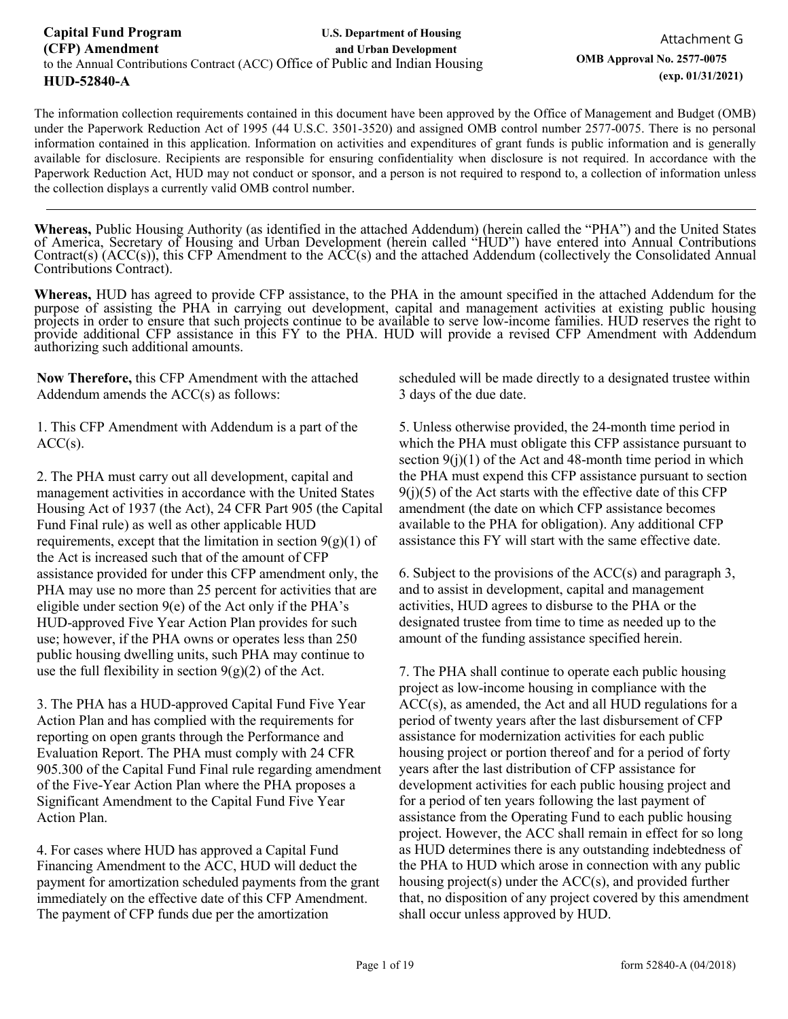The information collection requirements contained in this document have been approved by the Office of Management and Budget (OMB) under the Paperwork Reduction Act of 1995 (44 U.S.C. 3501-3520) and assigned OMB control number 2577-0075. There is no personal information contained in this application. Information on activities and expenditures of grant funds is public information and is generally available for disclosure. Recipients are responsible for ensuring confidentiality when disclosure is not required. In accordance with the Paperwork Reduction Act, HUD may not conduct or sponsor, and a person is not required to respond to, a collection of information unless the collection displays a currently valid OMB control number.

**Whereas,** Public Housing Authority (as identified in the attached Addendum) (herein called the "PHA") and the United States of America, Secretary of Housing and Urban Development (herein called "HUD") have entered into Annual Contributions Contract(s) (ACC(s)), this CFP Amendment to the ACC(s) and the attached Addendum (collectively the Consolidated Annual Contributions Contract).

**Whereas,** HUD has agreed to provide CFP assistance, to the PHA in the amount specified in the attached Addendum for the purpose of assisting the PHA in carrying out development, capital and management activities at existing public housing projects in order to ensure that such projects continue to be available to serve low-income families. HUD reserves the right to provide additional CFP assistance in this FY to the PHA. HUD will provide a revised CFP Amendment with Addendum authorizing such additional amounts.

**Now Therefore,** this CFP Amendment with the attached Addendum amends the ACC(s) as follows:

1. This CFP Amendment with Addendum is a part of the  $ACC(s)$ .

2. The PHA must carry out all development, capital and management activities in accordance with the United States Housing Act of 1937 (the Act), 24 CFR Part 905 (the Capital Fund Final rule) as well as other applicable HUD requirements, except that the limitation in section  $9(g)(1)$  of the Act is increased such that of the amount of CFP assistance provided for under this CFP amendment only, the PHA may use no more than 25 percent for activities that are eligible under section 9(e) of the Act only if the PHA's HUD-approved Five Year Action Plan provides for such use; however, if the PHA owns or operates less than 250 public housing dwelling units, such PHA may continue to use the full flexibility in section  $9(g)(2)$  of the Act.

3. The PHA has a HUD-approved Capital Fund Five Year Action Plan and has complied with the requirements for reporting on open grants through the Performance and Evaluation Report. The PHA must comply with 24 CFR 905.300 of the Capital Fund Final rule regarding amendment of the Five-Year Action Plan where the PHA proposes a Significant Amendment to the Capital Fund Five Year Action Plan.

4. For cases where HUD has approved a Capital Fund Financing Amendment to the ACC, HUD will deduct the payment for amortization scheduled payments from the grant immediately on the effective date of this CFP Amendment. The payment of CFP funds due per the amortization

scheduled will be made directly to a designated trustee within 3 days of the due date.

5. Unless otherwise provided, the 24-month time period in which the PHA must obligate this CFP assistance pursuant to section  $9(j)(1)$  of the Act and 48-month time period in which the PHA must expend this CFP assistance pursuant to section  $9(i)(5)$  of the Act starts with the effective date of this CFP amendment (the date on which CFP assistance becomes available to the PHA for obligation). Any additional CFP assistance this FY will start with the same effective date.

6. Subject to the provisions of the ACC(s) and paragraph 3, and to assist in development, capital and management activities, HUD agrees to disburse to the PHA or the designated trustee from time to time as needed up to the amount of the funding assistance specified herein.

7. The PHA shall continue to operate each public housing project as low-income housing in compliance with the ACC(s), as amended, the Act and all HUD regulations for a period of twenty years after the last disbursement of CFP assistance for modernization activities for each public housing project or portion thereof and for a period of forty years after the last distribution of CFP assistance for development activities for each public housing project and for a period of ten years following the last payment of assistance from the Operating Fund to each public housing project. However, the ACC shall remain in effect for so long as HUD determines there is any outstanding indebtedness of the PHA to HUD which arose in connection with any public housing project(s) under the ACC(s), and provided further that, no disposition of any project covered by this amendment shall occur unless approved by HUD.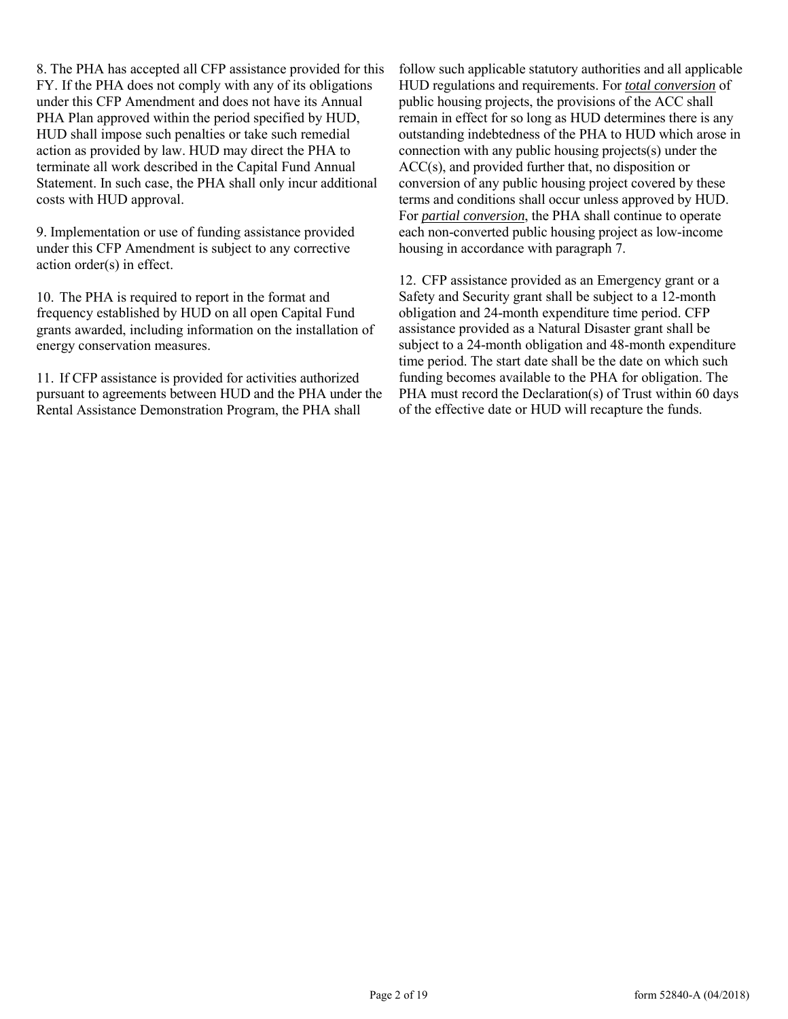8. The PHA has accepted all CFP assistance provided for this FY. If the PHA does not comply with any of its obligations under this CFP Amendment and does not have its Annual PHA Plan approved within the period specified by HUD, HUD shall impose such penalties or take such remedial action as provided by law. HUD may direct the PHA to terminate all work described in the Capital Fund Annual Statement. In such case, the PHA shall only incur additional costs with HUD approval.

9. Implementation or use of funding assistance provided under this CFP Amendment is subject to any corrective action order(s) in effect.

10. The PHA is required to report in the format and frequency established by HUD on all open Capital Fund grants awarded, including information on the installation of energy conservation measures.

11. If CFP assistance is provided for activities authorized pursuant to agreements between HUD and the PHA under the Rental Assistance Demonstration Program, the PHA shall

follow such applicable statutory authorities and all applicable HUD regulations and requirements. For *total conversion* of public housing projects, the provisions of the ACC shall remain in effect for so long as HUD determines there is any outstanding indebtedness of the PHA to HUD which arose in connection with any public housing projects(s) under the ACC(s), and provided further that, no disposition or conversion of any public housing project covered by these terms and conditions shall occur unless approved by HUD. For *partial conversion*, the PHA shall continue to operate each non-converted public housing project as low-income housing in accordance with paragraph 7.

12. CFP assistance provided as an Emergency grant or a Safety and Security grant shall be subject to a 12-month obligation and 24-month expenditure time period. CFP assistance provided as a Natural Disaster grant shall be subject to a 24-month obligation and 48-month expenditure time period. The start date shall be the date on which such funding becomes available to the PHA for obligation. The PHA must record the Declaration(s) of Trust within 60 days of the effective date or HUD will recapture the funds.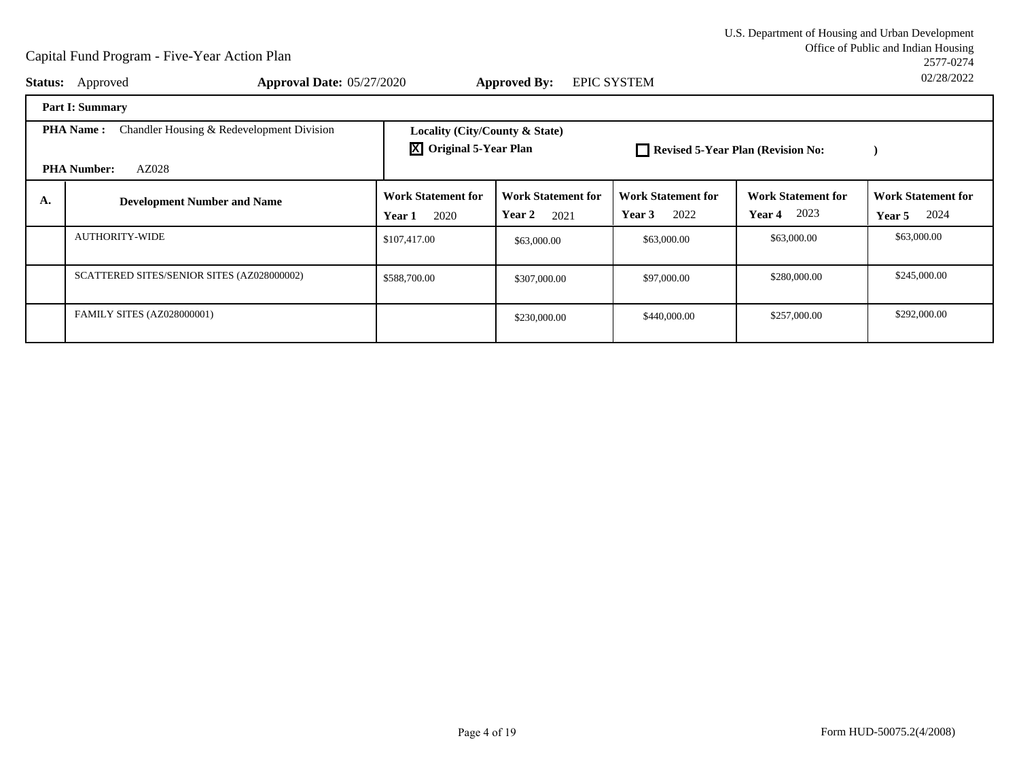Office of Public and Indian Housing<br>2577-0274 U.S. Department of Housing and Urban Development2577-027402/28/2022

|    | <b>Status:</b> Approved<br><b>Approval Date: 05/27/2020</b>                                  |                                                                                                            | <b>Approved By:</b>                         | <b>EPIC SYSTEM</b>                          |                                                    | UZIZ012022                                         |  |
|----|----------------------------------------------------------------------------------------------|------------------------------------------------------------------------------------------------------------|---------------------------------------------|---------------------------------------------|----------------------------------------------------|----------------------------------------------------|--|
|    | <b>Part I: Summary</b>                                                                       |                                                                                                            |                                             |                                             |                                                    |                                                    |  |
|    | Chandler Housing & Redevelopment Division<br><b>PHA Name:</b><br>AZ028<br><b>PHA Number:</b> | Locality (City/County & State)<br>$\overline{X}$ Original 5-Year Plan<br>Revised 5-Year Plan (Revision No: |                                             |                                             |                                                    |                                                    |  |
| А. | <b>Development Number and Name</b>                                                           | <b>Work Statement for</b><br>2020<br>Year 1                                                                | <b>Work Statement for</b><br>Year 2<br>2021 | <b>Work Statement for</b><br>2022<br>Year 3 | <b>Work Statement for</b><br>2023<br><b>Year 4</b> | <b>Work Statement for</b><br>2024<br><b>Year 5</b> |  |
|    | <b>AUTHORITY-WIDE</b>                                                                        | \$107,417.00                                                                                               | \$63,000.00                                 | \$63,000.00                                 | \$63,000.00                                        | \$63,000.00                                        |  |
|    | SCATTERED SITES/SENIOR SITES (AZ028000002)                                                   | \$588,700.00                                                                                               | \$307,000.00                                | \$97,000.00                                 | \$280,000.00                                       | \$245,000.00                                       |  |
|    | <b>FAMILY SITES (AZ028000001)</b>                                                            |                                                                                                            | \$230,000.00                                | \$440,000.00                                | \$257,000.00                                       | \$292,000.00                                       |  |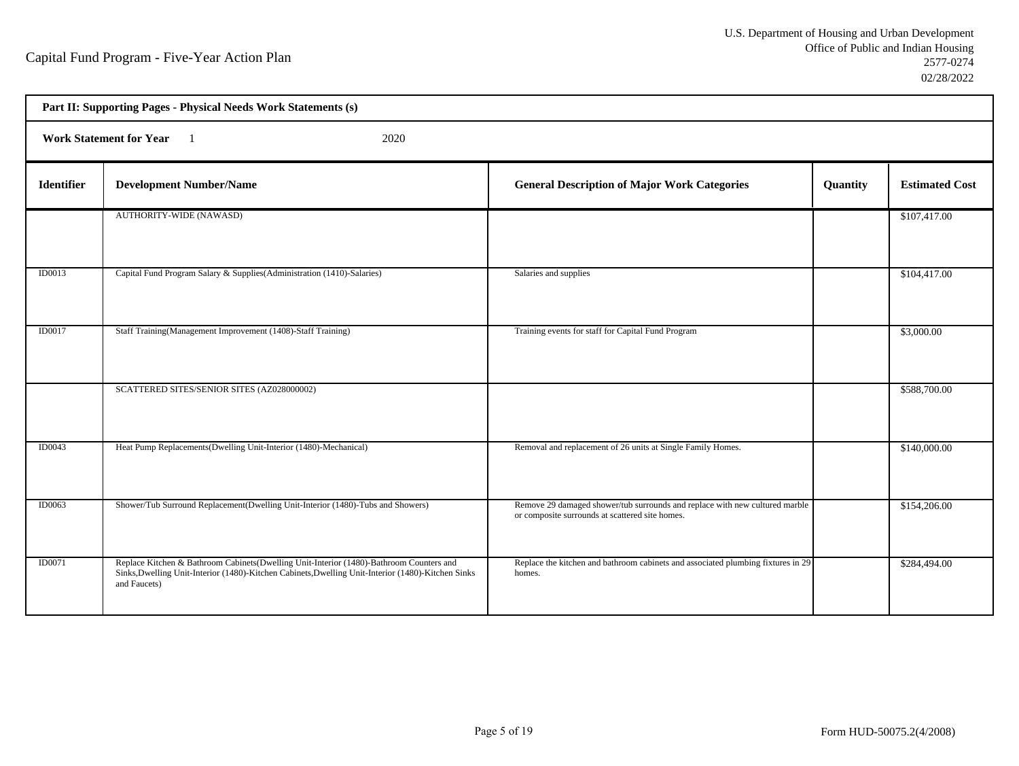- 17

Ť.

| Part II: Supporting Pages - Physical Needs Work Statements (s) |                                                                                                                                                                                                               |                                                                                                                                |          |                       |  |
|----------------------------------------------------------------|---------------------------------------------------------------------------------------------------------------------------------------------------------------------------------------------------------------|--------------------------------------------------------------------------------------------------------------------------------|----------|-----------------------|--|
|                                                                | <b>Work Statement for Year</b><br>2020                                                                                                                                                                        |                                                                                                                                |          |                       |  |
| Identifier                                                     | <b>Development Number/Name</b>                                                                                                                                                                                | <b>General Description of Major Work Categories</b>                                                                            | Quantity | <b>Estimated Cost</b> |  |
|                                                                | AUTHORITY-WIDE (NAWASD)                                                                                                                                                                                       |                                                                                                                                |          | \$107,417.00          |  |
| <b>ID0013</b>                                                  | Capital Fund Program Salary & Supplies(Administration (1410)-Salaries)                                                                                                                                        | Salaries and supplies                                                                                                          |          | \$104,417.00          |  |
| <b>ID0017</b>                                                  | Staff Training(Management Improvement (1408)-Staff Training)                                                                                                                                                  | Training events for staff for Capital Fund Program                                                                             |          | \$3,000.00            |  |
|                                                                | SCATTERED SITES/SENIOR SITES (AZ028000002)                                                                                                                                                                    |                                                                                                                                |          | \$588,700.00          |  |
| ID0043                                                         | Heat Pump Replacements(Dwelling Unit-Interior (1480)-Mechanical)                                                                                                                                              | Removal and replacement of 26 units at Single Family Homes.                                                                    |          | \$140,000.00          |  |
| ID0063                                                         | Shower/Tub Surround Replacement(Dwelling Unit-Interior (1480)-Tubs and Showers)                                                                                                                               | Remove 29 damaged shower/tub surrounds and replace with new cultured marble<br>or composite surrounds at scattered site homes. |          | \$154,206.00          |  |
| ID0071                                                         | Replace Kitchen & Bathroom Cabinets(Dwelling Unit-Interior (1480)-Bathroom Counters and<br>Sinks, Dwelling Unit-Interior (1480)-Kitchen Cabinets, Dwelling Unit-Interior (1480)-Kitchen Sinks<br>and Faucets) | Replace the kitchen and bathroom cabinets and associated plumbing fixtures in 29<br>homes.                                     |          | \$284,494.00          |  |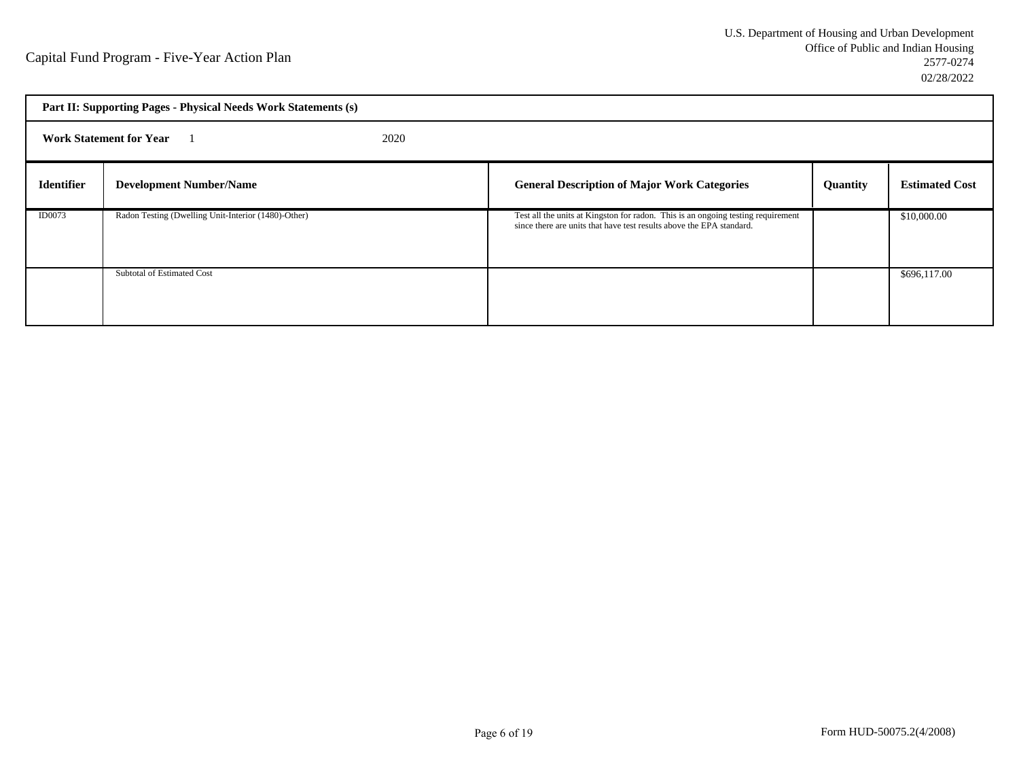| Part II: Supporting Pages - Physical Needs Work Statements (s) |                                                     |                                                                                                                                                          |                 |                       |  |
|----------------------------------------------------------------|-----------------------------------------------------|----------------------------------------------------------------------------------------------------------------------------------------------------------|-----------------|-----------------------|--|
|                                                                | <b>Work Statement for Year</b><br>2020              |                                                                                                                                                          |                 |                       |  |
| <b>Identifier</b>                                              | <b>Development Number/Name</b>                      | <b>General Description of Major Work Categories</b>                                                                                                      | <b>Quantity</b> | <b>Estimated Cost</b> |  |
| <b>ID0073</b>                                                  | Radon Testing (Dwelling Unit-Interior (1480)-Other) | Test all the units at Kingston for radon. This is an ongoing testing requirement<br>since there are units that have test results above the EPA standard. |                 | \$10,000.00           |  |
|                                                                | Subtotal of Estimated Cost                          |                                                                                                                                                          |                 | \$696,117.00          |  |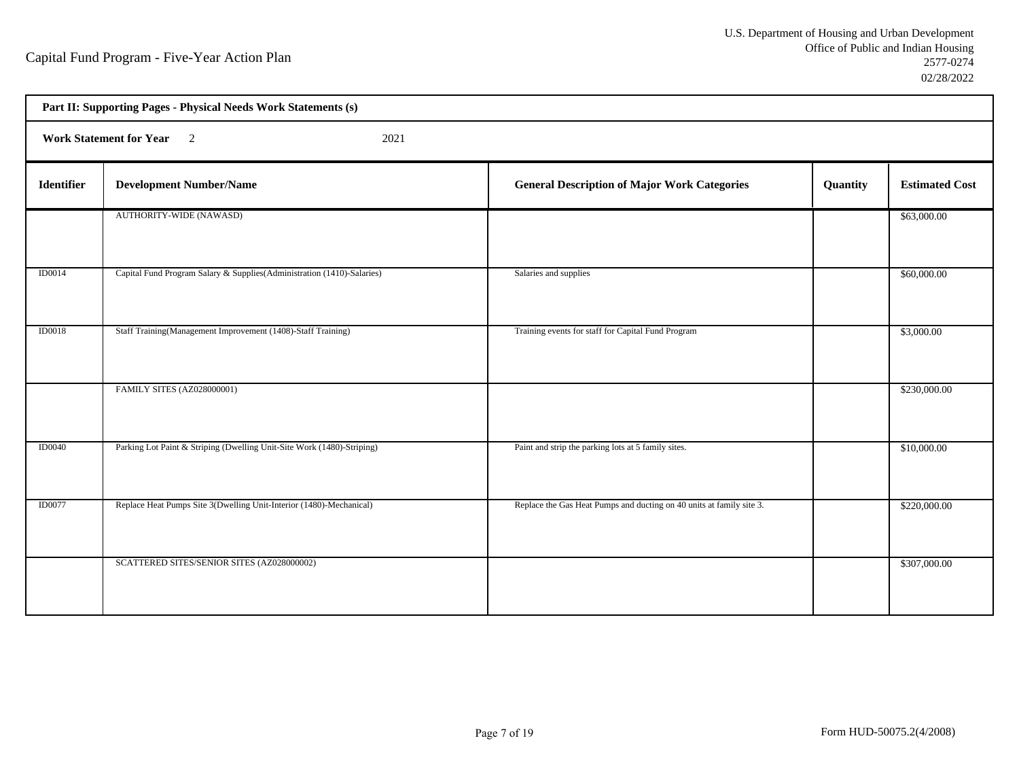- 17

Ť.

| Part II: Supporting Pages - Physical Needs Work Statements (s) |                                                                         |                                                                      |          |                       |  |  |
|----------------------------------------------------------------|-------------------------------------------------------------------------|----------------------------------------------------------------------|----------|-----------------------|--|--|
|                                                                | Work Statement for Year 2<br>2021                                       |                                                                      |          |                       |  |  |
| <b>Identifier</b>                                              | <b>Development Number/Name</b>                                          | <b>General Description of Major Work Categories</b>                  | Quantity | <b>Estimated Cost</b> |  |  |
|                                                                | AUTHORITY-WIDE (NAWASD)                                                 |                                                                      |          | \$63,000.00           |  |  |
| <b>ID0014</b>                                                  | Capital Fund Program Salary & Supplies (Administration (1410)-Salaries) | Salaries and supplies                                                |          | \$60,000.00           |  |  |
| <b>ID0018</b>                                                  | Staff Training(Management Improvement (1408)-Staff Training)            | Training events for staff for Capital Fund Program                   |          | \$3,000.00            |  |  |
|                                                                | FAMILY SITES (AZ028000001)                                              |                                                                      |          | \$230,000.00          |  |  |
| <b>ID0040</b>                                                  | Parking Lot Paint & Striping (Dwelling Unit-Site Work (1480)-Striping)  | Paint and strip the parking lots at 5 family sites.                  |          | \$10,000.00           |  |  |
| <b>ID0077</b>                                                  | Replace Heat Pumps Site 3(Dwelling Unit-Interior (1480)-Mechanical)     | Replace the Gas Heat Pumps and ducting on 40 units at family site 3. |          | \$220,000.00          |  |  |
|                                                                | SCATTERED SITES/SENIOR SITES (AZ028000002)                              |                                                                      |          | \$307,000.00          |  |  |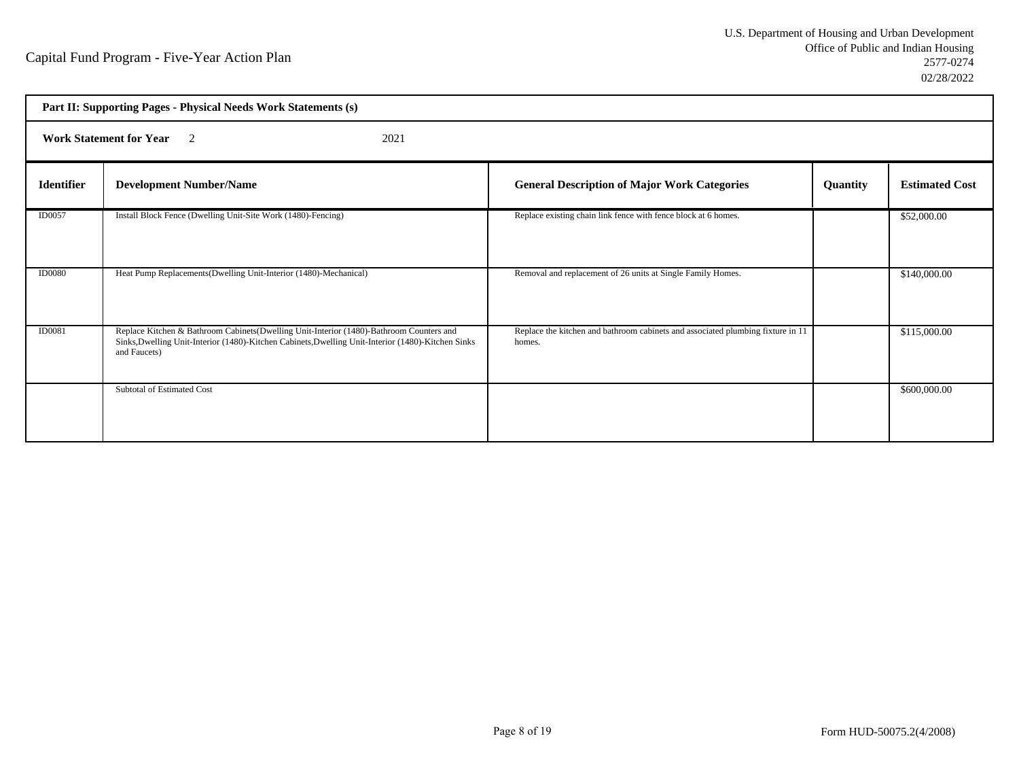| Part II: Supporting Pages - Physical Needs Work Statements (s) |                                                                                                                                                                                                               |                                                                                           |                 |                       |  |  |
|----------------------------------------------------------------|---------------------------------------------------------------------------------------------------------------------------------------------------------------------------------------------------------------|-------------------------------------------------------------------------------------------|-----------------|-----------------------|--|--|
|                                                                | <b>Work Statement for Year</b> 2<br>2021                                                                                                                                                                      |                                                                                           |                 |                       |  |  |
| <b>Identifier</b>                                              | <b>Development Number/Name</b>                                                                                                                                                                                | <b>General Description of Major Work Categories</b>                                       | <b>Quantity</b> | <b>Estimated Cost</b> |  |  |
| ID0057                                                         | Install Block Fence (Dwelling Unit-Site Work (1480)-Fencing)                                                                                                                                                  | Replace existing chain link fence with fence block at 6 homes.                            |                 | \$52,000.00           |  |  |
| <b>ID0080</b>                                                  | Heat Pump Replacements(Dwelling Unit-Interior (1480)-Mechanical)                                                                                                                                              | Removal and replacement of 26 units at Single Family Homes.                               |                 | \$140,000.00          |  |  |
| ID0081                                                         | Replace Kitchen & Bathroom Cabinets(Dwelling Unit-Interior (1480)-Bathroom Counters and<br>Sinks, Dwelling Unit-Interior (1480)-Kitchen Cabinets, Dwelling Unit-Interior (1480)-Kitchen Sinks<br>and Faucets) | Replace the kitchen and bathroom cabinets and associated plumbing fixture in 11<br>homes. |                 | \$115,000.00          |  |  |
|                                                                | <b>Subtotal of Estimated Cost</b>                                                                                                                                                                             |                                                                                           |                 | \$600,000.00          |  |  |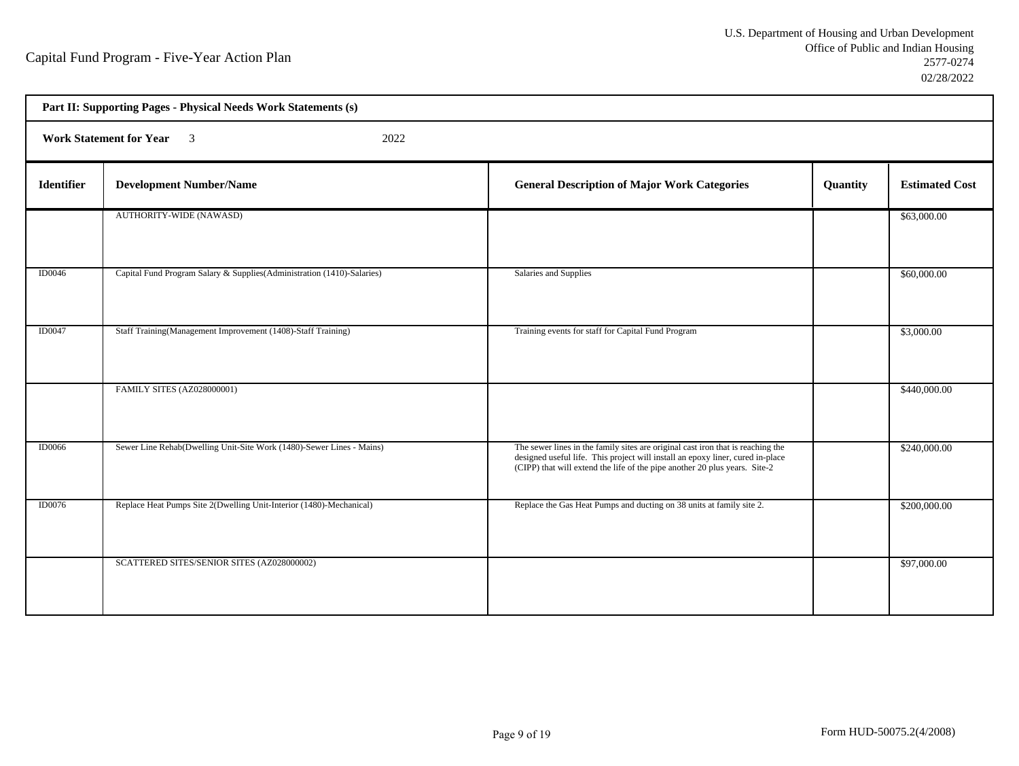٦

| Part II: Supporting Pages - Physical Needs Work Statements (s) |                                                                         |                                                                                                                                                                                                                                                 |          |                       |  |
|----------------------------------------------------------------|-------------------------------------------------------------------------|-------------------------------------------------------------------------------------------------------------------------------------------------------------------------------------------------------------------------------------------------|----------|-----------------------|--|
|                                                                | Work Statement for Year 3<br>2022                                       |                                                                                                                                                                                                                                                 |          |                       |  |
| Identifier                                                     | <b>Development Number/Name</b>                                          | <b>General Description of Major Work Categories</b>                                                                                                                                                                                             | Quantity | <b>Estimated Cost</b> |  |
|                                                                | AUTHORITY-WIDE (NAWASD)                                                 |                                                                                                                                                                                                                                                 |          | \$63,000.00           |  |
| <b>ID0046</b>                                                  | Capital Fund Program Salary & Supplies (Administration (1410)-Salaries) | Salaries and Supplies                                                                                                                                                                                                                           |          | \$60,000.00           |  |
| <b>ID0047</b>                                                  | Staff Training(Management Improvement (1408)-Staff Training)            | Training events for staff for Capital Fund Program                                                                                                                                                                                              |          | \$3,000.00            |  |
|                                                                | <b>FAMILY SITES (AZ028000001)</b>                                       |                                                                                                                                                                                                                                                 |          | \$440,000.00          |  |
| <b>ID0066</b>                                                  | Sewer Line Rehab(Dwelling Unit-Site Work (1480)-Sewer Lines - Mains)    | The sewer lines in the family sites are original cast iron that is reaching the<br>designed useful life. This project will install an epoxy liner, cured in-place<br>(CIPP) that will extend the life of the pipe another 20 plus years. Site-2 |          | \$240,000.00          |  |
| ID0076                                                         | Replace Heat Pumps Site 2(Dwelling Unit-Interior (1480)-Mechanical)     | Replace the Gas Heat Pumps and ducting on 38 units at family site 2.                                                                                                                                                                            |          | \$200,000.00          |  |
|                                                                | SCATTERED SITES/SENIOR SITES (AZ028000002)                              |                                                                                                                                                                                                                                                 |          | \$97,000.00           |  |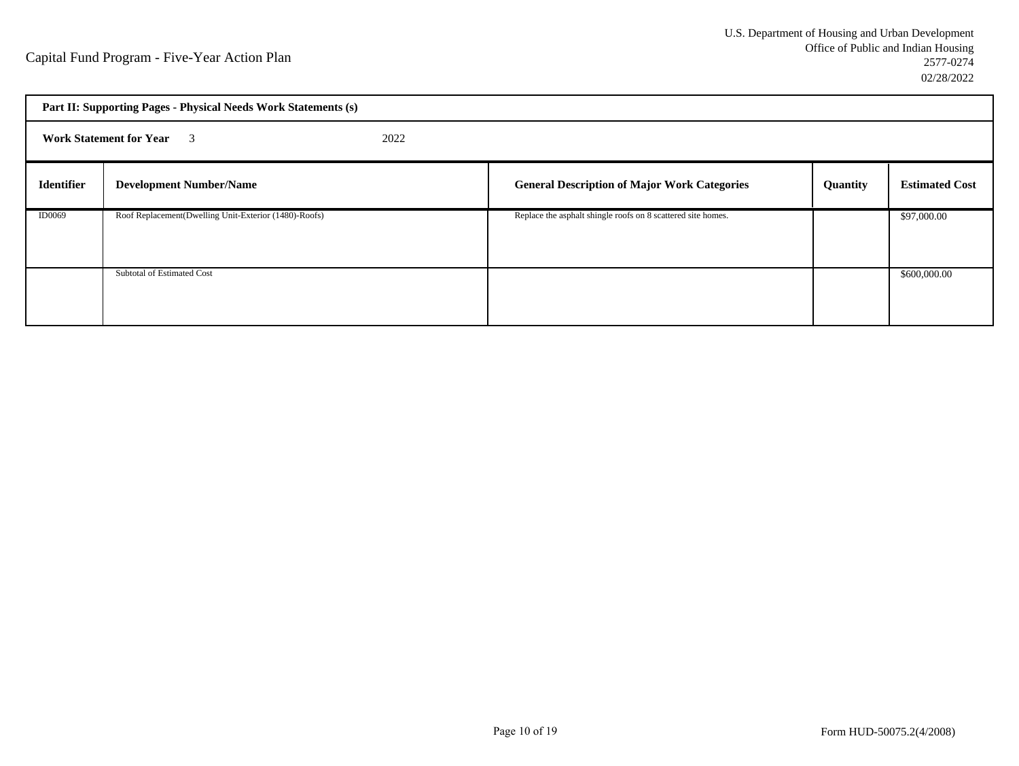| Part II: Supporting Pages - Physical Needs Work Statements (s) |                                                       |  |                                                              |          |                       |
|----------------------------------------------------------------|-------------------------------------------------------|--|--------------------------------------------------------------|----------|-----------------------|
|                                                                | <b>Work Statement for Year</b> 3<br>2022              |  |                                                              |          |                       |
| <b>Identifier</b>                                              | <b>Development Number/Name</b>                        |  | <b>General Description of Major Work Categories</b>          | Quantity | <b>Estimated Cost</b> |
| <b>ID0069</b>                                                  | Roof Replacement(Dwelling Unit-Exterior (1480)-Roofs) |  | Replace the asphalt shingle roofs on 8 scattered site homes. |          | \$97,000.00           |
|                                                                | Subtotal of Estimated Cost                            |  |                                                              |          | \$600,000.00          |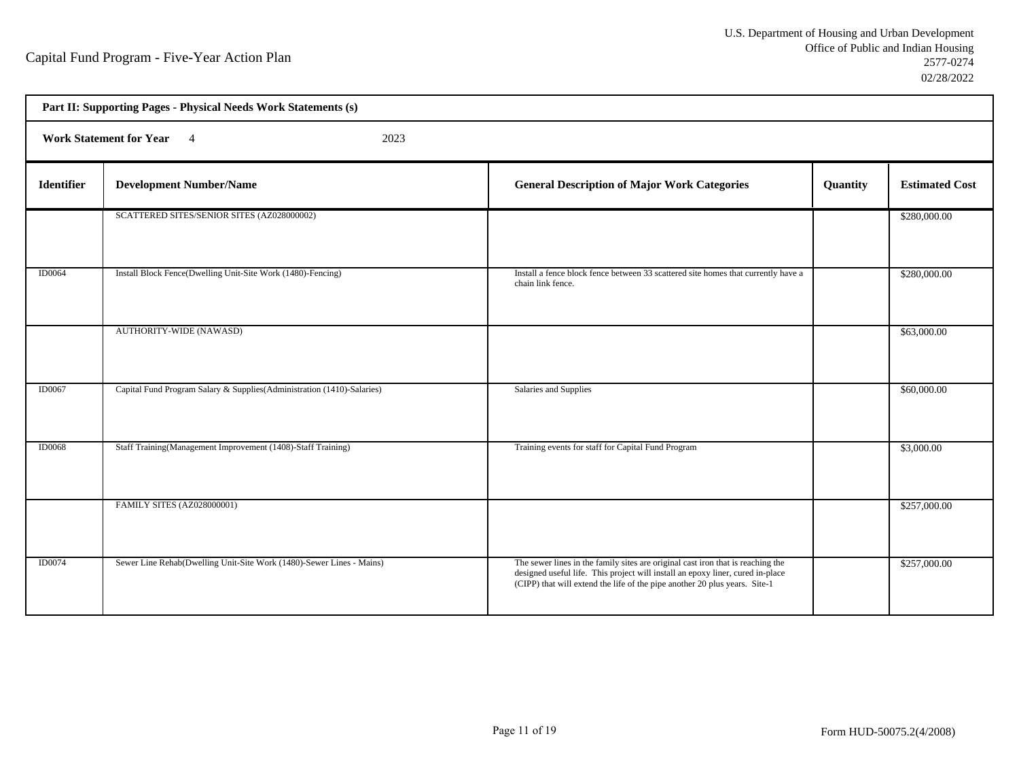| Part II: Supporting Pages - Physical Needs Work Statements (s) |                                                                        |                                                                                                                                                                                                                                                 |          |                       |  |  |
|----------------------------------------------------------------|------------------------------------------------------------------------|-------------------------------------------------------------------------------------------------------------------------------------------------------------------------------------------------------------------------------------------------|----------|-----------------------|--|--|
|                                                                | <b>Work Statement for Year</b><br>2023<br>$\overline{4}$               |                                                                                                                                                                                                                                                 |          |                       |  |  |
| Identifier                                                     | <b>Development Number/Name</b>                                         | <b>General Description of Major Work Categories</b>                                                                                                                                                                                             | Quantity | <b>Estimated Cost</b> |  |  |
|                                                                | SCATTERED SITES/SENIOR SITES (AZ028000002)                             |                                                                                                                                                                                                                                                 |          | \$280,000.00          |  |  |
| <b>ID0064</b>                                                  | Install Block Fence(Dwelling Unit-Site Work (1480)-Fencing)            | Install a fence block fence between 33 scattered site homes that currently have a<br>chain link fence.                                                                                                                                          |          | \$280,000.00          |  |  |
|                                                                | <b>AUTHORITY-WIDE (NAWASD)</b>                                         |                                                                                                                                                                                                                                                 |          | \$63,000.00           |  |  |
| <b>ID0067</b>                                                  | Capital Fund Program Salary & Supplies(Administration (1410)-Salaries) | Salaries and Supplies                                                                                                                                                                                                                           |          | \$60,000.00           |  |  |
| <b>ID0068</b>                                                  | Staff Training(Management Improvement (1408)-Staff Training)           | Training events for staff for Capital Fund Program                                                                                                                                                                                              |          | \$3,000.00            |  |  |
|                                                                | FAMILY SITES (AZ028000001)                                             |                                                                                                                                                                                                                                                 |          | \$257,000.00          |  |  |
| <b>ID0074</b>                                                  | Sewer Line Rehab(Dwelling Unit-Site Work (1480)-Sewer Lines - Mains)   | The sewer lines in the family sites are original cast iron that is reaching the<br>designed useful life. This project will install an epoxy liner, cured in-place<br>(CIPP) that will extend the life of the pipe another 20 plus years. Site-1 |          | \$257,000.00          |  |  |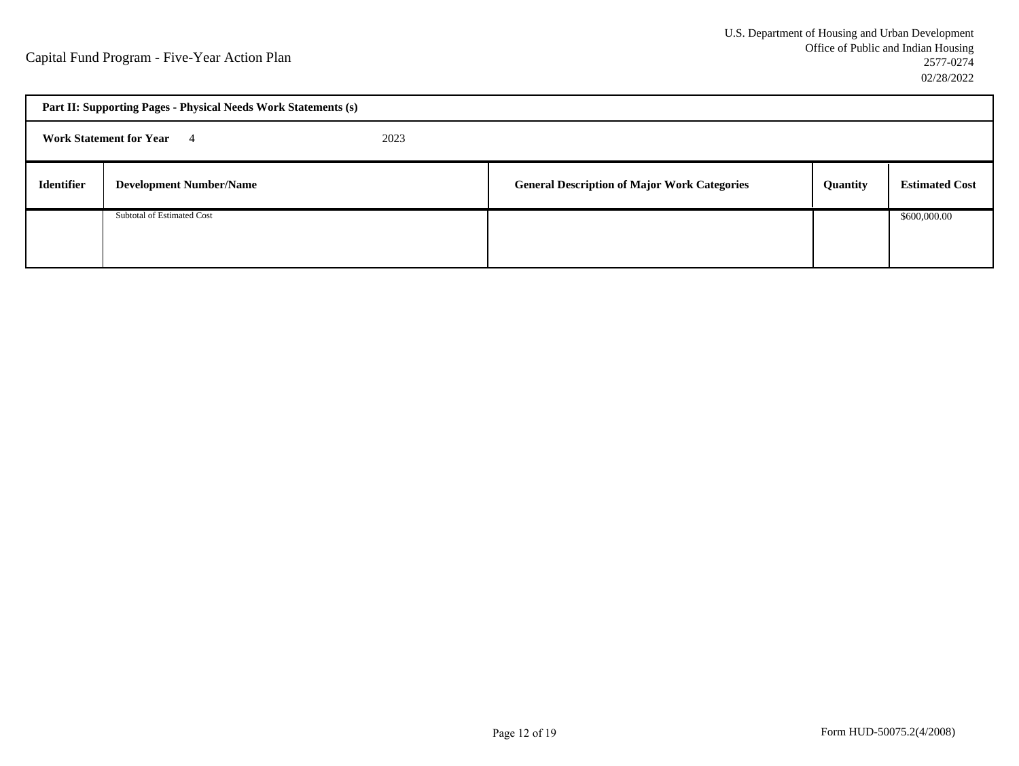| Part II: Supporting Pages - Physical Needs Work Statements (s) |                                |  |                                                     |          |                       |
|----------------------------------------------------------------|--------------------------------|--|-----------------------------------------------------|----------|-----------------------|
| <b>Work Statement for Year</b> 4<br>2023                       |                                |  |                                                     |          |                       |
| <b>Identifier</b>                                              | <b>Development Number/Name</b> |  | <b>General Description of Major Work Categories</b> | Quantity | <b>Estimated Cost</b> |
|                                                                | Subtotal of Estimated Cost     |  |                                                     |          | \$600,000.00          |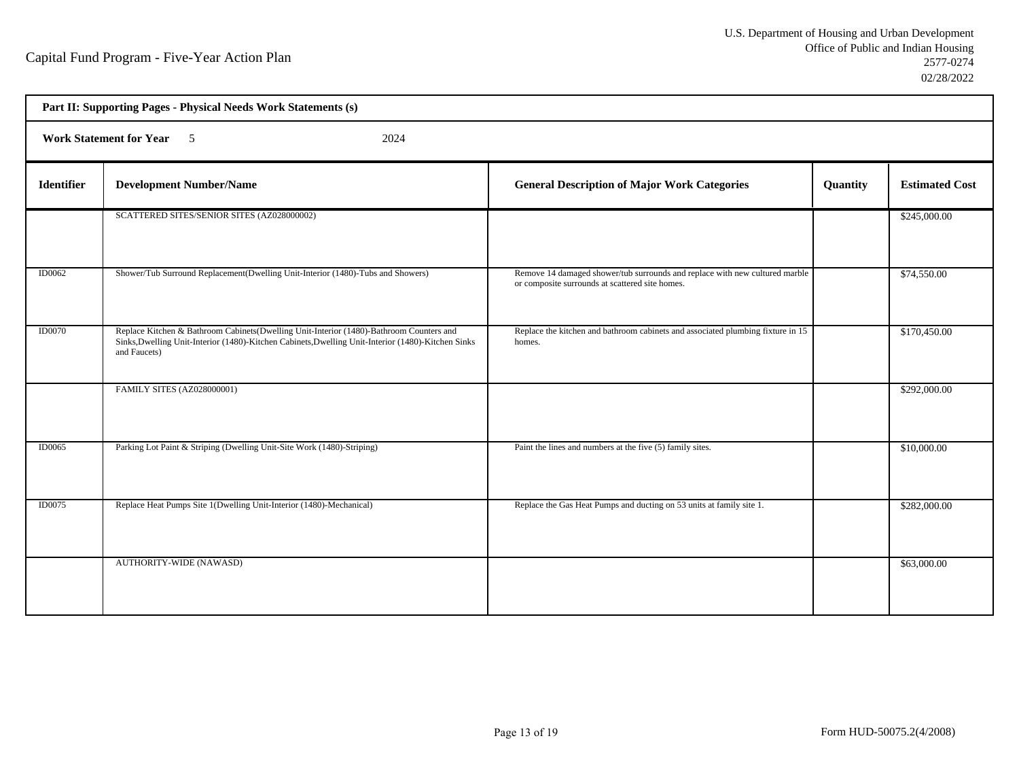| Part II: Supporting Pages - Physical Needs Work Statements (s) |                                                                                                                                                                                                                |                                                                                                                                |          |                       |  |
|----------------------------------------------------------------|----------------------------------------------------------------------------------------------------------------------------------------------------------------------------------------------------------------|--------------------------------------------------------------------------------------------------------------------------------|----------|-----------------------|--|
|                                                                | Work Statement for Year 5<br>2024                                                                                                                                                                              |                                                                                                                                |          |                       |  |
| Identifier                                                     | <b>Development Number/Name</b>                                                                                                                                                                                 | <b>General Description of Major Work Categories</b>                                                                            | Quantity | <b>Estimated Cost</b> |  |
|                                                                | SCATTERED SITES/SENIOR SITES (AZ028000002)                                                                                                                                                                     |                                                                                                                                |          | \$245,000.00          |  |
| <b>ID0062</b>                                                  | Shower/Tub Surround Replacement(Dwelling Unit-Interior (1480)-Tubs and Showers)                                                                                                                                | Remove 14 damaged shower/tub surrounds and replace with new cultured marble<br>or composite surrounds at scattered site homes. |          | \$74,550.00           |  |
| <b>ID0070</b>                                                  | Replace Kitchen & Bathroom Cabinets (Dwelling Unit-Interior (1480)-Bathroom Counters and<br>Sinks, Dwelling Unit-Interior (1480)-Kitchen Cabinets, Dwelling Unit-Interior (1480)-Kitchen Sinks<br>and Faucets) | Replace the kitchen and bathroom cabinets and associated plumbing fixture in 15<br>homes.                                      |          | \$170,450.00          |  |
|                                                                | <b>FAMILY SITES (AZ028000001)</b>                                                                                                                                                                              |                                                                                                                                |          | \$292,000.00          |  |
| <b>ID0065</b>                                                  | Parking Lot Paint & Striping (Dwelling Unit-Site Work (1480)-Striping)                                                                                                                                         | Paint the lines and numbers at the five (5) family sites.                                                                      |          | \$10,000.00           |  |
| <b>ID0075</b>                                                  | Replace Heat Pumps Site 1(Dwelling Unit-Interior (1480)-Mechanical)                                                                                                                                            | Replace the Gas Heat Pumps and ducting on 53 units at family site 1.                                                           |          | \$282,000.00          |  |
|                                                                | AUTHORITY-WIDE (NAWASD)                                                                                                                                                                                        |                                                                                                                                |          | \$63,000.00           |  |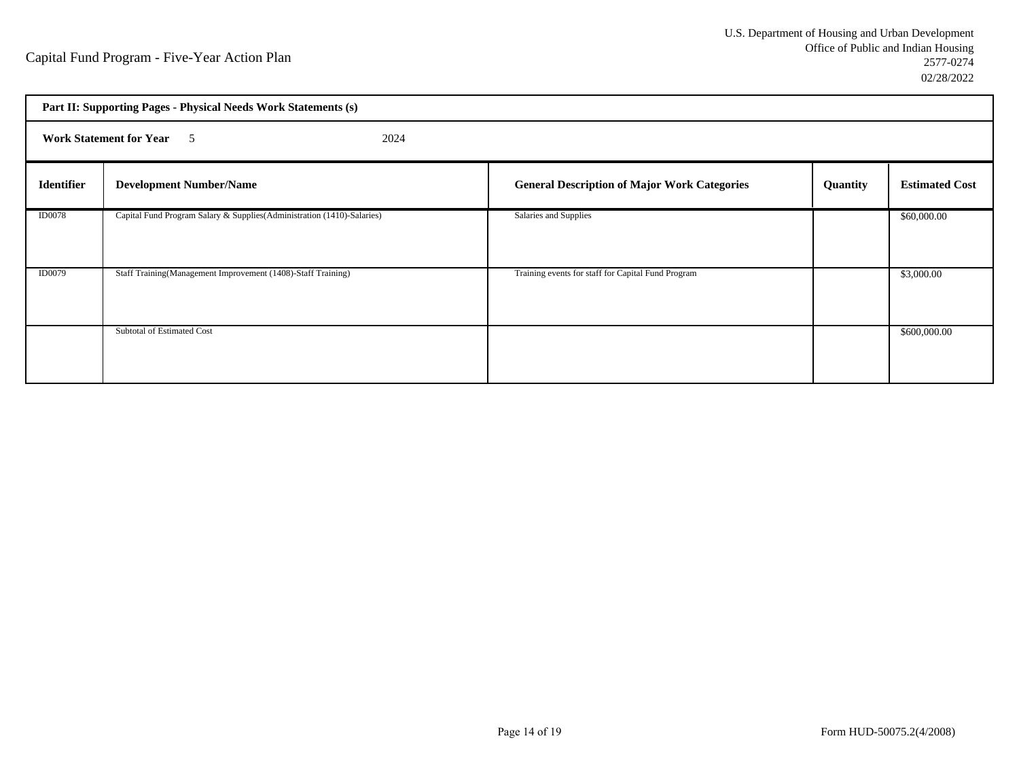| Part II: Supporting Pages - Physical Needs Work Statements (s) |                                                                         |                                                     |          |                       |  |
|----------------------------------------------------------------|-------------------------------------------------------------------------|-----------------------------------------------------|----------|-----------------------|--|
|                                                                | <b>Work Statement for Year</b> 5<br>2024                                |                                                     |          |                       |  |
| <b>Identifier</b>                                              | <b>Development Number/Name</b>                                          | <b>General Description of Major Work Categories</b> | Quantity | <b>Estimated Cost</b> |  |
| <b>ID0078</b>                                                  | Capital Fund Program Salary & Supplies (Administration (1410)-Salaries) | Salaries and Supplies                               |          | \$60,000.00           |  |
| <b>ID0079</b>                                                  | Staff Training(Management Improvement (1408)-Staff Training)            | Training events for staff for Capital Fund Program  |          | \$3,000.00            |  |
|                                                                | Subtotal of Estimated Cost                                              |                                                     |          | \$600,000.00          |  |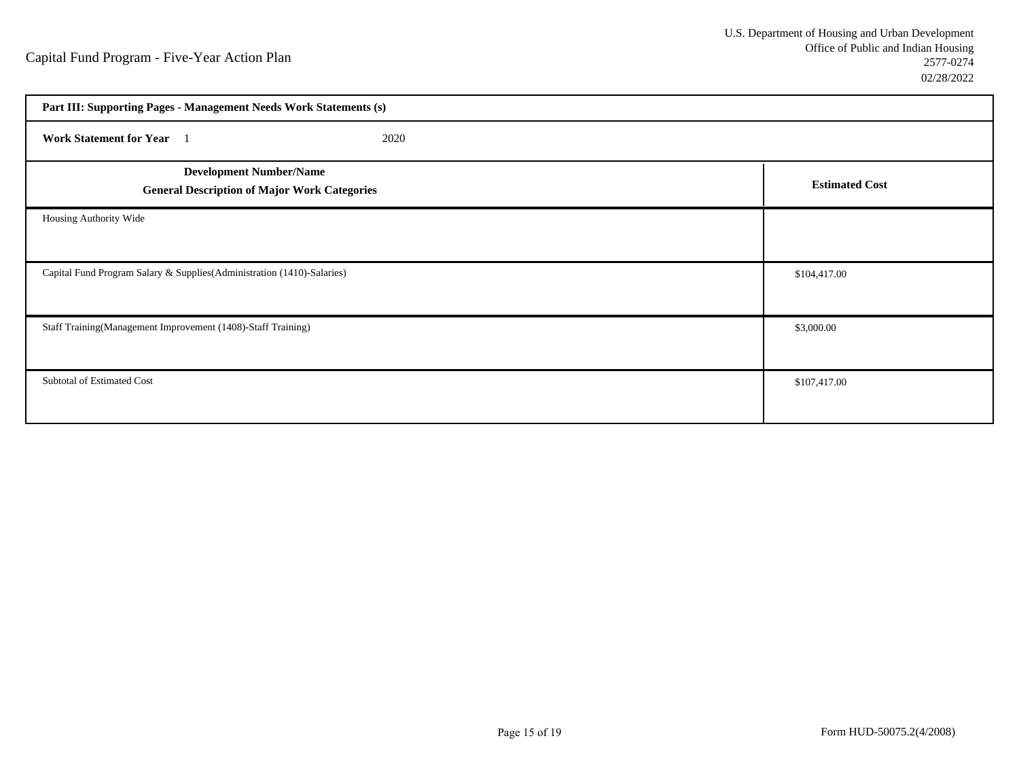| Part III: Supporting Pages - Management Needs Work Statements (s)                     |                       |  |
|---------------------------------------------------------------------------------------|-----------------------|--|
| Work Statement for Year 1<br>2020                                                     |                       |  |
| <b>Development Number/Name</b><br><b>General Description of Major Work Categories</b> | <b>Estimated Cost</b> |  |
| Housing Authority Wide                                                                |                       |  |
| Capital Fund Program Salary & Supplies (Administration (1410)-Salaries)               | \$104,417.00          |  |
| Staff Training(Management Improvement (1408)-Staff Training)                          | \$3,000.00            |  |
| Subtotal of Estimated Cost                                                            | \$107,417.00          |  |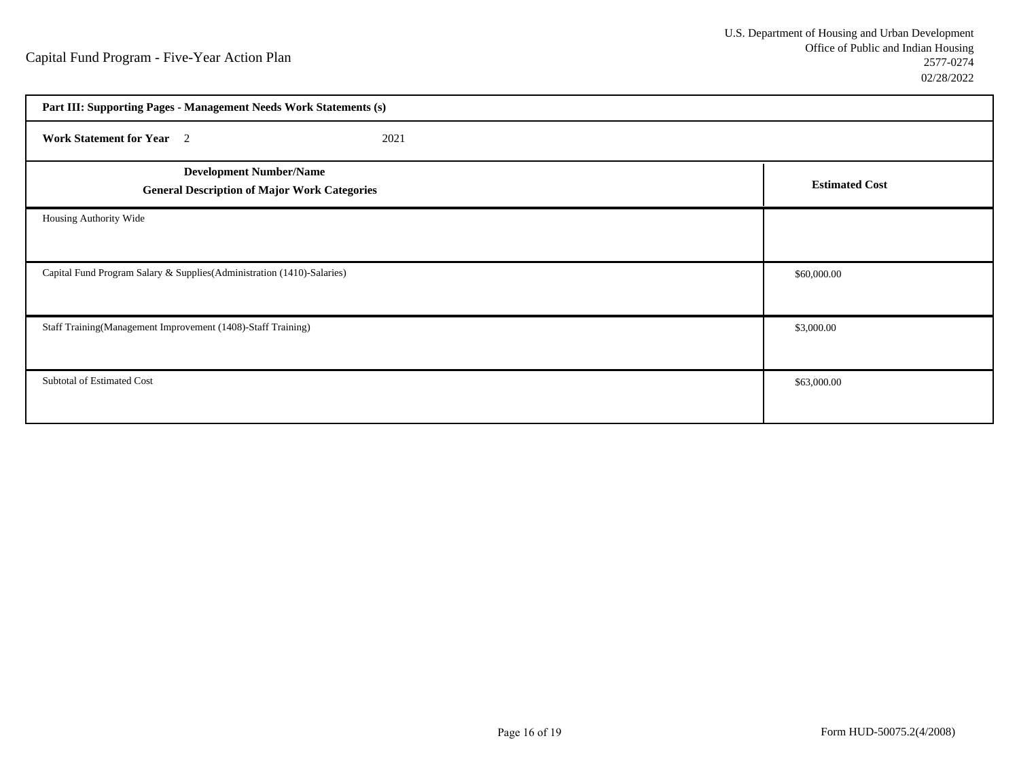| Part III: Supporting Pages - Management Needs Work Statements (s)                     |                       |  |  |  |  |  |  |  |
|---------------------------------------------------------------------------------------|-----------------------|--|--|--|--|--|--|--|
| <b>Work Statement for Year</b> 2<br>2021                                              |                       |  |  |  |  |  |  |  |
| <b>Development Number/Name</b><br><b>General Description of Major Work Categories</b> | <b>Estimated Cost</b> |  |  |  |  |  |  |  |
| Housing Authority Wide                                                                |                       |  |  |  |  |  |  |  |
| Capital Fund Program Salary & Supplies(Administration (1410)-Salaries)                | \$60,000.00           |  |  |  |  |  |  |  |
| Staff Training(Management Improvement (1408)-Staff Training)                          | \$3,000.00            |  |  |  |  |  |  |  |
| Subtotal of Estimated Cost                                                            | \$63,000.00           |  |  |  |  |  |  |  |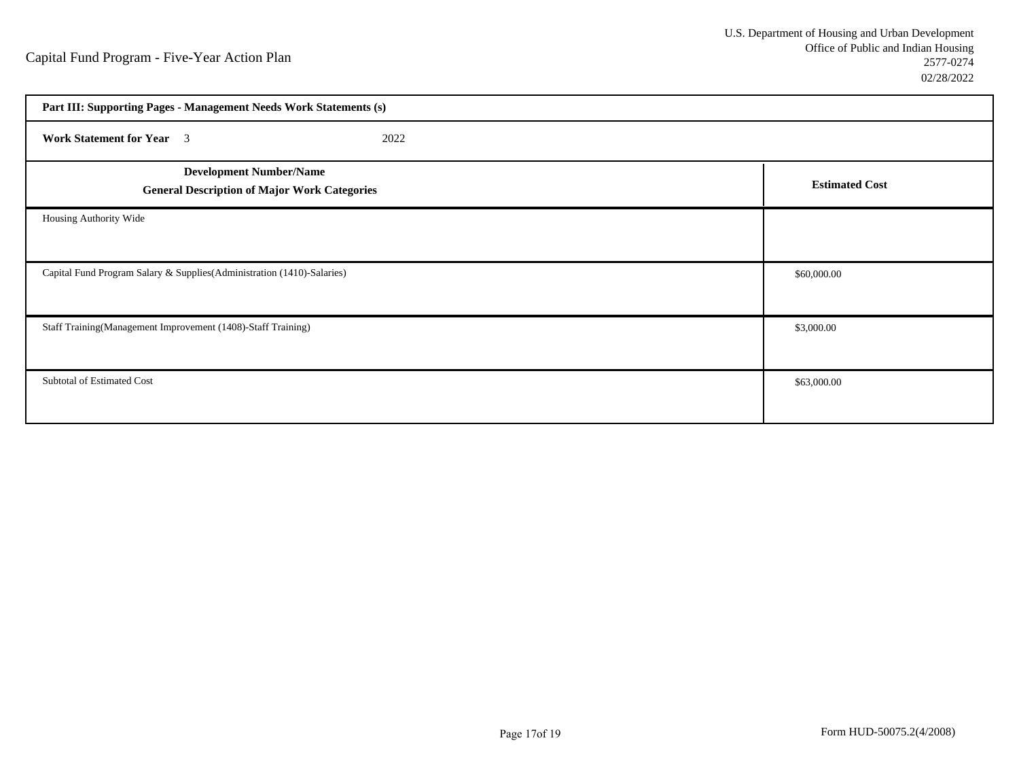| Part III: Supporting Pages - Management Needs Work Statements (s)                     |                       |  |  |  |  |  |  |  |
|---------------------------------------------------------------------------------------|-----------------------|--|--|--|--|--|--|--|
| <b>Work Statement for Year</b> 3<br>2022                                              |                       |  |  |  |  |  |  |  |
| <b>Development Number/Name</b><br><b>General Description of Major Work Categories</b> | <b>Estimated Cost</b> |  |  |  |  |  |  |  |
| Housing Authority Wide                                                                |                       |  |  |  |  |  |  |  |
| Capital Fund Program Salary & Supplies(Administration (1410)-Salaries)                | \$60,000.00           |  |  |  |  |  |  |  |
| Staff Training(Management Improvement (1408)-Staff Training)                          | \$3,000.00            |  |  |  |  |  |  |  |
| Subtotal of Estimated Cost                                                            | \$63,000.00           |  |  |  |  |  |  |  |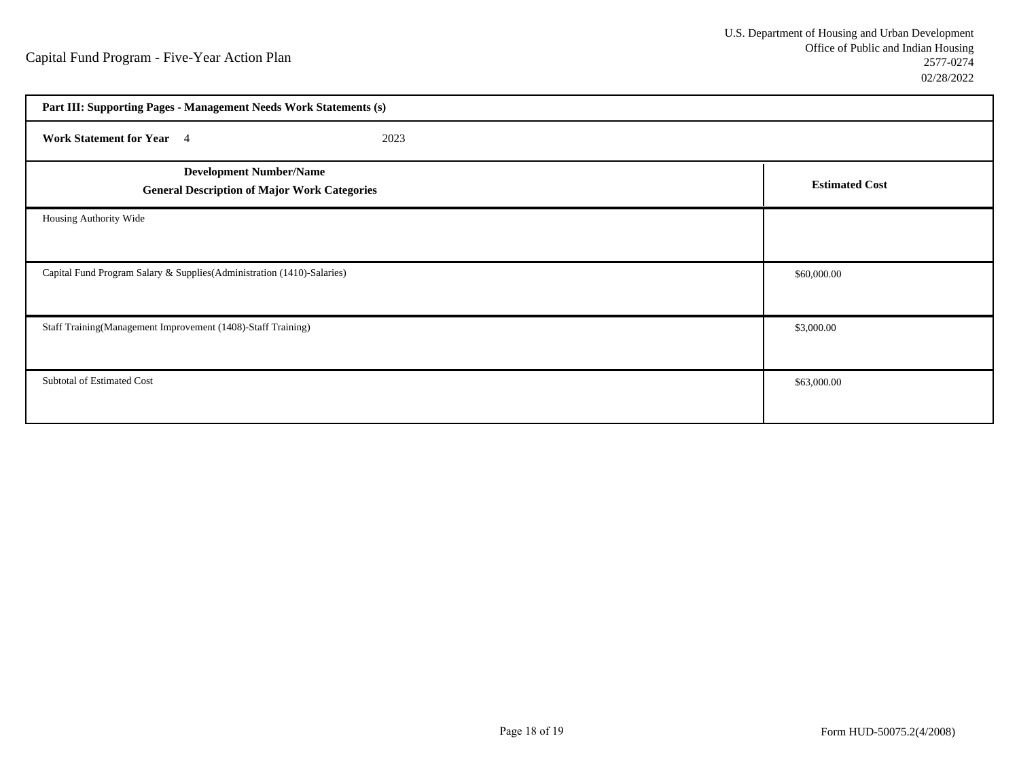| Part III: Supporting Pages - Management Needs Work Statements (s)                     |                       |  |  |  |  |  |  |  |
|---------------------------------------------------------------------------------------|-----------------------|--|--|--|--|--|--|--|
| Work Statement for Year 4<br>2023                                                     |                       |  |  |  |  |  |  |  |
| <b>Development Number/Name</b><br><b>General Description of Major Work Categories</b> | <b>Estimated Cost</b> |  |  |  |  |  |  |  |
| Housing Authority Wide                                                                |                       |  |  |  |  |  |  |  |
| Capital Fund Program Salary & Supplies(Administration (1410)-Salaries)                | \$60,000.00           |  |  |  |  |  |  |  |
| Staff Training(Management Improvement (1408)-Staff Training)                          | \$3,000.00            |  |  |  |  |  |  |  |
| Subtotal of Estimated Cost                                                            | \$63,000.00           |  |  |  |  |  |  |  |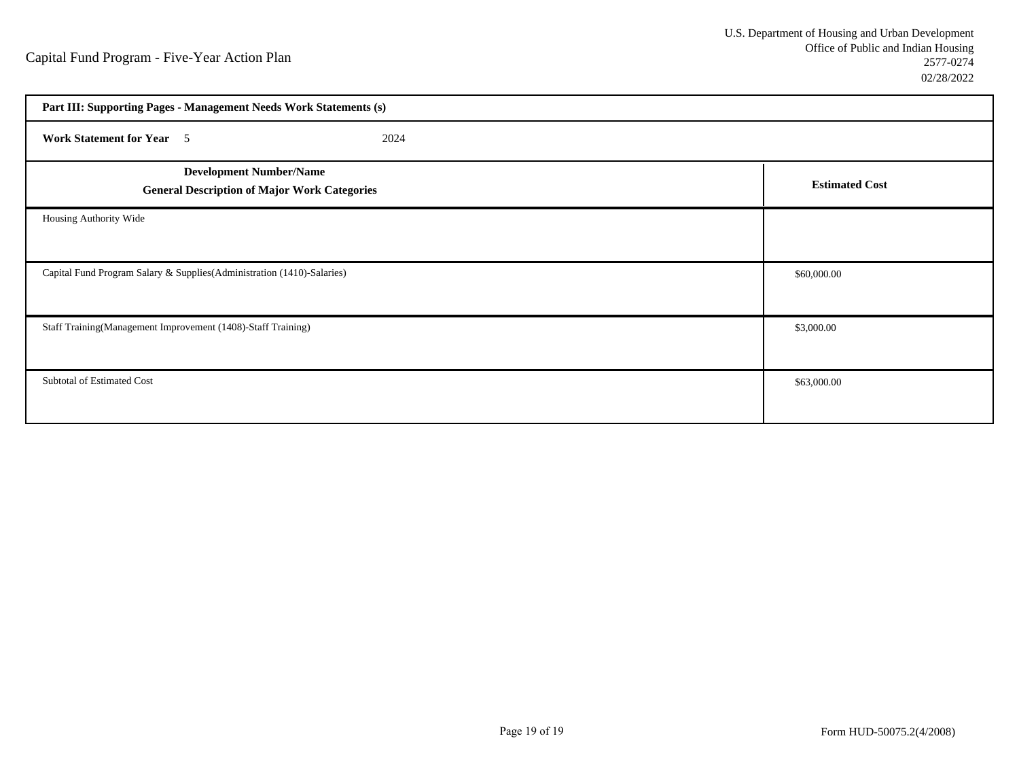| Part III: Supporting Pages - Management Needs Work Statements (s)                     |                       |  |  |  |  |  |  |
|---------------------------------------------------------------------------------------|-----------------------|--|--|--|--|--|--|
| <b>Work Statement for Year</b> 5<br>2024                                              |                       |  |  |  |  |  |  |
| <b>Development Number/Name</b><br><b>General Description of Major Work Categories</b> | <b>Estimated Cost</b> |  |  |  |  |  |  |
| Housing Authority Wide                                                                |                       |  |  |  |  |  |  |
| Capital Fund Program Salary & Supplies(Administration (1410)-Salaries)                | \$60,000.00           |  |  |  |  |  |  |
| Staff Training(Management Improvement (1408)-Staff Training)                          | \$3,000.00            |  |  |  |  |  |  |
| Subtotal of Estimated Cost                                                            | \$63,000.00           |  |  |  |  |  |  |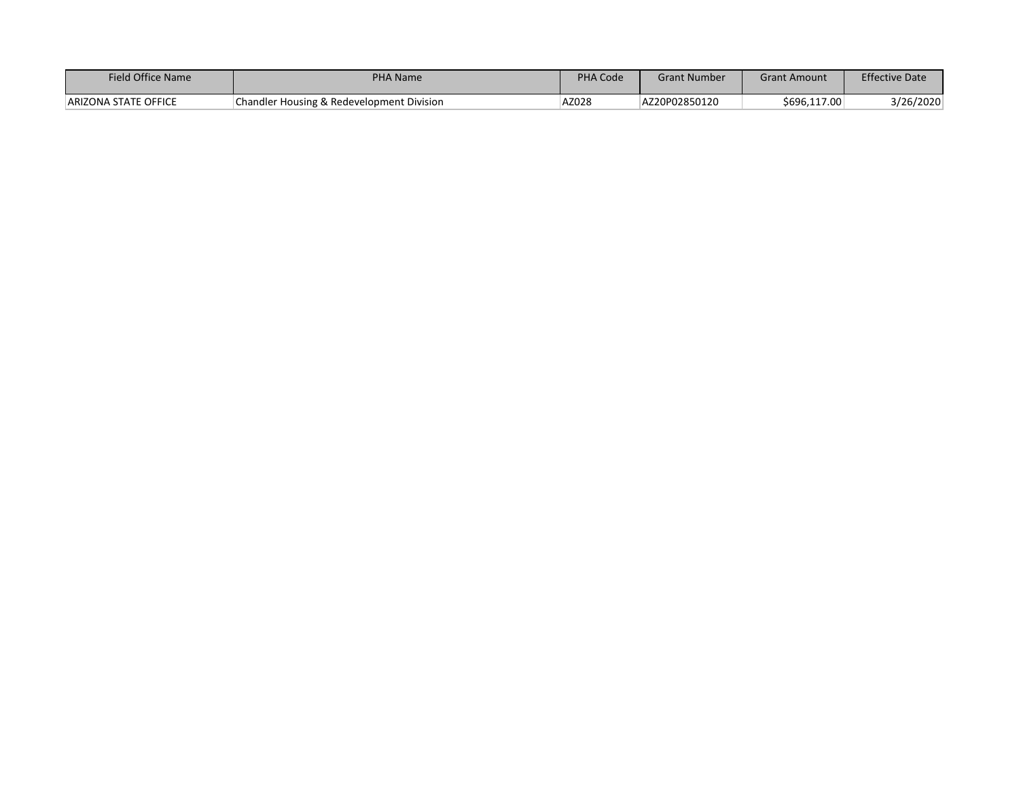| Field Office Name           | <b>PHA Name</b>                           | PHA Code | Grant Number  | Grant Amount | <b>Effective Date</b> |
|-----------------------------|-------------------------------------------|----------|---------------|--------------|-----------------------|
| <b>ARIZONA STATE OFFICE</b> | Chandler Housing & Redevelopment Division | AZ028    | AZ20P02850120 | \$696,117.00 | 3/26/2020             |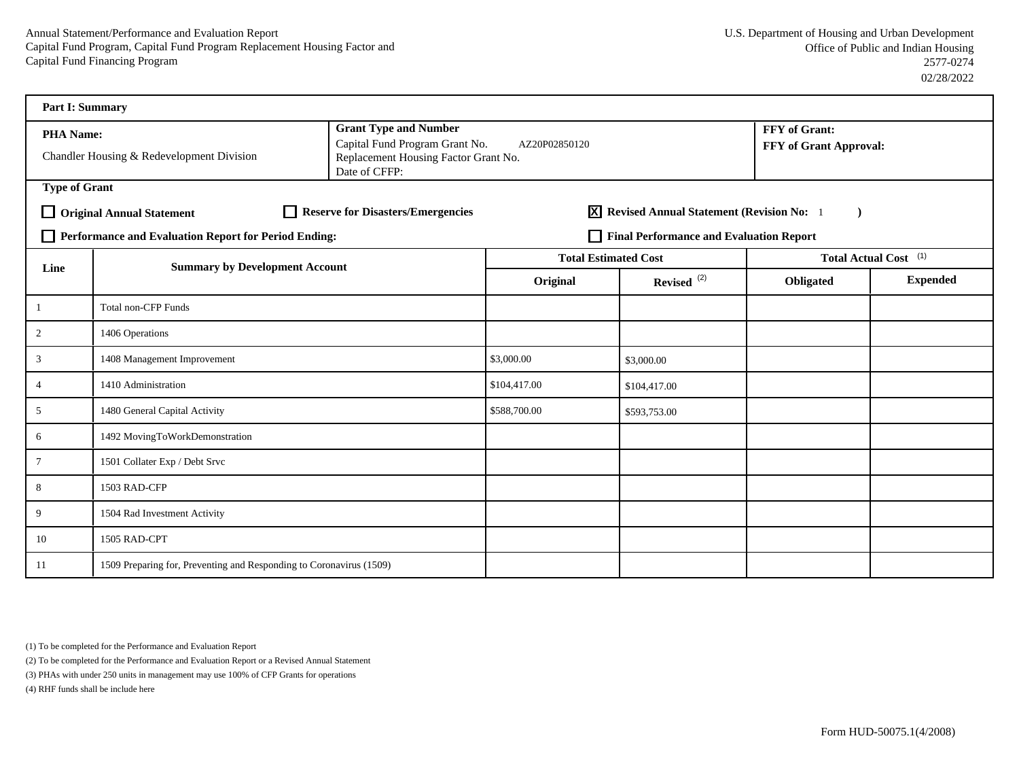| <b>Part I: Summary</b> |                                                                     |                                                                                                                         |                             |                                                   |                                         |                                  |
|------------------------|---------------------------------------------------------------------|-------------------------------------------------------------------------------------------------------------------------|-----------------------------|---------------------------------------------------|-----------------------------------------|----------------------------------|
| <b>PHA Name:</b>       | Chandler Housing & Redevelopment Division                           | <b>Grant Type and Number</b><br>Capital Fund Program Grant No.<br>Replacement Housing Factor Grant No.<br>Date of CFFP: | AZ20P02850120               |                                                   | FFY of Grant:<br>FFY of Grant Approval: |                                  |
| <b>Type of Grant</b>   |                                                                     |                                                                                                                         |                             |                                                   |                                         |                                  |
|                        | <b>Original Annual Statement</b>                                    | Reserve for Disasters/Emergencies                                                                                       |                             | <b>X</b> Revised Annual Statement (Revision No: 1 |                                         |                                  |
|                        | Performance and Evaluation Report for Period Ending:                |                                                                                                                         |                             | Final Performance and Evaluation Report           |                                         |                                  |
| Line                   | <b>Summary by Development Account</b>                               |                                                                                                                         | <b>Total Estimated Cost</b> |                                                   |                                         | Total Actual Cost <sup>(1)</sup> |
|                        |                                                                     |                                                                                                                         | Original                    | Revised <sup>(2)</sup>                            | Obligated                               | <b>Expended</b>                  |
|                        | <b>Total non-CFP Funds</b>                                          |                                                                                                                         |                             |                                                   |                                         |                                  |
| $\overline{2}$         | 1406 Operations                                                     |                                                                                                                         |                             |                                                   |                                         |                                  |
| $\mathfrak{Z}$         | 1408 Management Improvement                                         | \$3,000.00                                                                                                              | \$3,000.00                  |                                                   |                                         |                                  |
| 4                      | 1410 Administration                                                 |                                                                                                                         | \$104,417.00                | \$104,417.00                                      |                                         |                                  |
| 5                      | 1480 General Capital Activity                                       |                                                                                                                         | \$588,700.00                | \$593,753.00                                      |                                         |                                  |
| 6                      | 1492 MovingToWorkDemonstration                                      |                                                                                                                         |                             |                                                   |                                         |                                  |
| $\tau$                 | 1501 Collater Exp / Debt Srvc                                       |                                                                                                                         |                             |                                                   |                                         |                                  |
| 8                      | 1503 RAD-CFP                                                        |                                                                                                                         |                             |                                                   |                                         |                                  |
| 9                      | 1504 Rad Investment Activity                                        |                                                                                                                         |                             |                                                   |                                         |                                  |
| 10                     | 1505 RAD-CPT                                                        |                                                                                                                         |                             |                                                   |                                         |                                  |
| 11                     | 1509 Preparing for, Preventing and Responding to Coronavirus (1509) |                                                                                                                         |                             |                                                   |                                         |                                  |

(1) To be completed for the Performance and Evaluation Report

(2) To be completed for the Performance and Evaluation Report or a Revised Annual Statement

(3) PHAs with under 250 units in management may use 100% of CFP Grants for operations

(4) RHF funds shall be include here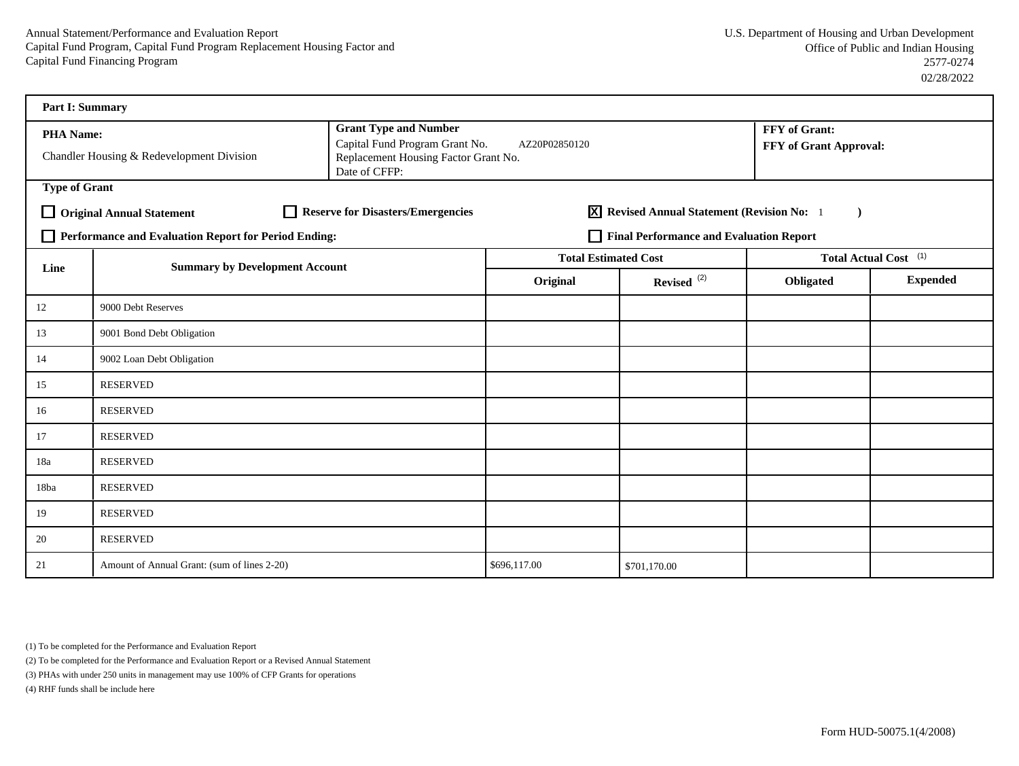| Part I: Summary      |                                                      |                                                                                                                         |                             |                                            |                                                |                                  |
|----------------------|------------------------------------------------------|-------------------------------------------------------------------------------------------------------------------------|-----------------------------|--------------------------------------------|------------------------------------------------|----------------------------------|
| PHA Name:            | Chandler Housing & Redevelopment Division            | <b>Grant Type and Number</b><br>Capital Fund Program Grant No.<br>Replacement Housing Factor Grant No.<br>Date of CFFP: | AZ20P02850120               |                                            | FFY of Grant:<br><b>FFY of Grant Approval:</b> |                                  |
| <b>Type of Grant</b> |                                                      |                                                                                                                         |                             |                                            |                                                |                                  |
|                      | <b>Original Annual Statement</b>                     | Reserve for Disasters/Emergencies                                                                                       |                             | X Revised Annual Statement (Revision No: 1 |                                                |                                  |
|                      | Performance and Evaluation Report for Period Ending: |                                                                                                                         |                             | Final Performance and Evaluation Report    |                                                |                                  |
| Line                 | <b>Summary by Development Account</b>                |                                                                                                                         | <b>Total Estimated Cost</b> |                                            |                                                | Total Actual Cost <sup>(1)</sup> |
|                      |                                                      |                                                                                                                         | Original                    | Revised <sup>(2)</sup>                     | Obligated                                      | <b>Expended</b>                  |
| 12                   | 9000 Debt Reserves                                   |                                                                                                                         |                             |                                            |                                                |                                  |
| 13                   | 9001 Bond Debt Obligation                            |                                                                                                                         |                             |                                            |                                                |                                  |
| 14                   | 9002 Loan Debt Obligation                            |                                                                                                                         |                             |                                            |                                                |                                  |
| 15                   | <b>RESERVED</b>                                      |                                                                                                                         |                             |                                            |                                                |                                  |
| 16                   | <b>RESERVED</b>                                      |                                                                                                                         |                             |                                            |                                                |                                  |
| 17                   | <b>RESERVED</b>                                      |                                                                                                                         |                             |                                            |                                                |                                  |
| 18a                  | <b>RESERVED</b>                                      |                                                                                                                         |                             |                                            |                                                |                                  |
| 18ba                 | <b>RESERVED</b>                                      |                                                                                                                         |                             |                                            |                                                |                                  |
| 19                   | <b>RESERVED</b>                                      |                                                                                                                         |                             |                                            |                                                |                                  |
| 20                   | <b>RESERVED</b>                                      |                                                                                                                         |                             |                                            |                                                |                                  |
| 21                   | Amount of Annual Grant: (sum of lines 2-20)          |                                                                                                                         | \$696,117.00                | \$701,170.00                               |                                                |                                  |

(1) To be completed for the Performance and Evaluation Report

(2) To be completed for the Performance and Evaluation Report or a Revised Annual Statement

(3) PHAs with under 250 units in management may use 100% of CFP Grants for operations

(4) RHF funds shall be include here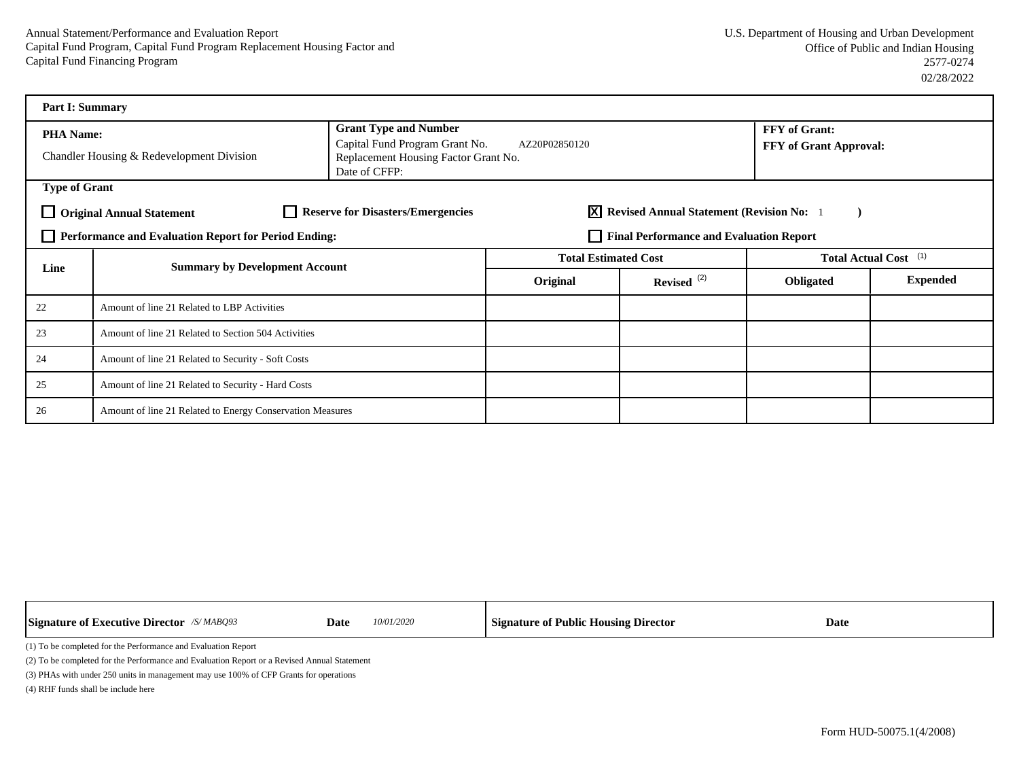| <b>Part I: Summary</b>                                                                                                            |                                                           |                                                                                         |                                                |                                  |                        |                 |  |
|-----------------------------------------------------------------------------------------------------------------------------------|-----------------------------------------------------------|-----------------------------------------------------------------------------------------|------------------------------------------------|----------------------------------|------------------------|-----------------|--|
| <b>PHA Name:</b>                                                                                                                  |                                                           | <b>Grant Type and Number</b>                                                            |                                                |                                  | FFY of Grant:          |                 |  |
|                                                                                                                                   | Chandler Housing & Redevelopment Division                 | Capital Fund Program Grant No.<br>Replacement Housing Factor Grant No.<br>Date of CFFP: | AZ20P02850120                                  |                                  | FFY of Grant Approval: |                 |  |
| <b>Type of Grant</b>                                                                                                              |                                                           |                                                                                         |                                                |                                  |                        |                 |  |
| <b>Reserve for Disasters/Emergencies</b><br><b>X</b> Revised Annual Statement (Revision No: 1<br><b>Original Annual Statement</b> |                                                           |                                                                                         |                                                |                                  |                        |                 |  |
|                                                                                                                                   | Performance and Evaluation Report for Period Ending:      |                                                                                         | <b>Final Performance and Evaluation Report</b> |                                  |                        |                 |  |
| Line                                                                                                                              | <b>Summary by Development Account</b>                     | <b>Total Estimated Cost</b>                                                             |                                                | Total Actual Cost <sup>(1)</sup> |                        |                 |  |
|                                                                                                                                   |                                                           |                                                                                         | Original                                       | Revised $(2)$                    | Obligated              | <b>Expended</b> |  |
| 22                                                                                                                                | Amount of line 21 Related to LBP Activities               |                                                                                         |                                                |                                  |                        |                 |  |
| 23                                                                                                                                | Amount of line 21 Related to Section 504 Activities       |                                                                                         |                                                |                                  |                        |                 |  |
| 24                                                                                                                                | Amount of line 21 Related to Security - Soft Costs        |                                                                                         |                                                |                                  |                        |                 |  |
| 25                                                                                                                                | Amount of line 21 Related to Security - Hard Costs        |                                                                                         |                                                |                                  |                        |                 |  |
| 26                                                                                                                                | Amount of line 21 Related to Energy Conservation Measures |                                                                                         |                                                |                                  |                        |                 |  |

|                                                               | <b>Signature of Executive Director</b> $\alpha$ MABQ93                                      | Date | 10/01/2020 | <b>Signature of Public Housing Director</b> | Date |  |  |  |  |
|---------------------------------------------------------------|---------------------------------------------------------------------------------------------|------|------------|---------------------------------------------|------|--|--|--|--|
| (1) To be completed for the Performance and Evaluation Report |                                                                                             |      |            |                                             |      |  |  |  |  |
|                                                               | (2) To be completed for the Performance and Evaluation Report or a Revised Annual Statement |      |            |                                             |      |  |  |  |  |
|                                                               | (3) PHAs with under 250 units in management may use 100% of CFP Grants for operations       |      |            |                                             |      |  |  |  |  |

Т

(4) RHF funds shall be include here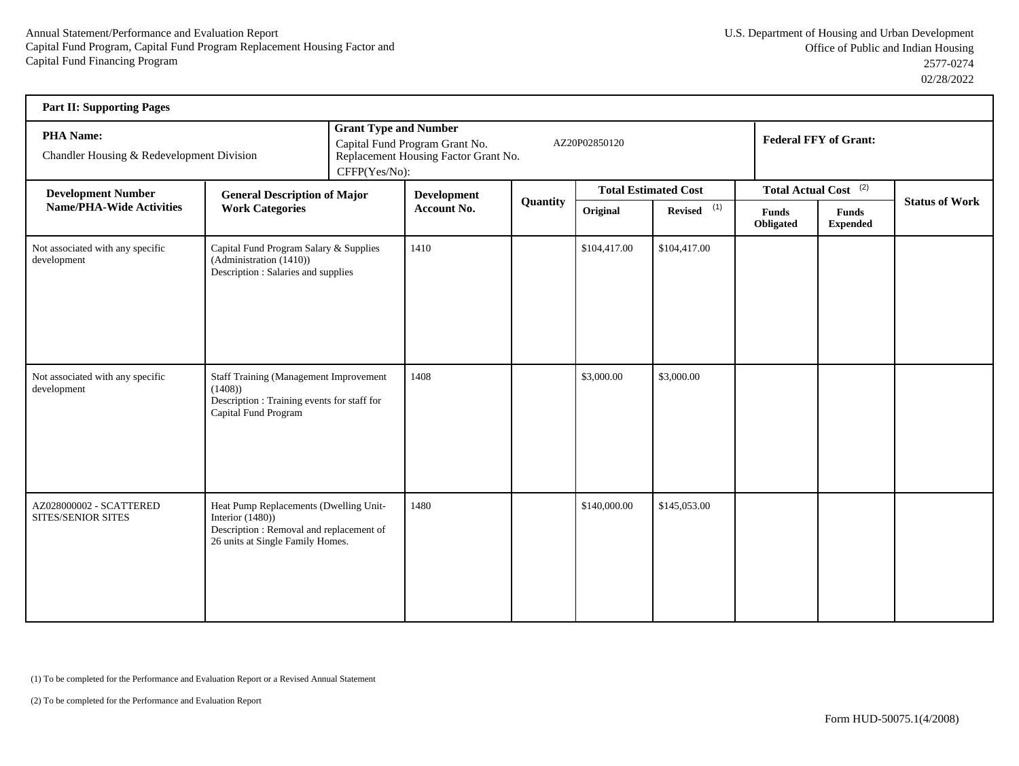| <b>Part II: Supporting Pages</b>                       |                                                                                                                                               |               |                                                                                                                         |          |              |                             |                           |                                  |                       |  |
|--------------------------------------------------------|-----------------------------------------------------------------------------------------------------------------------------------------------|---------------|-------------------------------------------------------------------------------------------------------------------------|----------|--------------|-----------------------------|---------------------------|----------------------------------|-----------------------|--|
| PHA Name:<br>Chandler Housing & Redevelopment Division |                                                                                                                                               | CFFP(Yes/No): | <b>Grant Type and Number</b><br>Capital Fund Program Grant No.<br>AZ20P02850120<br>Replacement Housing Factor Grant No. |          |              |                             |                           | <b>Federal FFY of Grant:</b>     |                       |  |
| <b>Development Number</b>                              | <b>General Description of Major</b>                                                                                                           |               | <b>Development</b>                                                                                                      |          |              | <b>Total Estimated Cost</b> |                           | Total Actual Cost <sup>(2)</sup> |                       |  |
| <b>Name/PHA-Wide Activities</b>                        | <b>Work Categories</b>                                                                                                                        |               | Account No.                                                                                                             | Quantity | Original     | $Reviewed$ <sup>(1)</sup>   | <b>Funds</b><br>Obligated | <b>Funds</b><br><b>Expended</b>  | <b>Status of Work</b> |  |
| Not associated with any specific<br>development        | Capital Fund Program Salary & Supplies<br>(Administration (1410))<br>Description : Salaries and supplies                                      |               | 1410                                                                                                                    |          | \$104,417.00 | \$104,417.00                |                           |                                  |                       |  |
| Not associated with any specific<br>development        | <b>Staff Training (Management Improvement</b><br>(1408)<br>Description : Training events for staff for<br>Capital Fund Program                |               | 1408                                                                                                                    |          | \$3,000.00   | \$3,000.00                  |                           |                                  |                       |  |
| AZ028000002 - SCATTERED<br>SITES/SENIOR SITES          | Heat Pump Replacements (Dwelling Unit-<br>Interior $(1480)$ )<br>Description : Removal and replacement of<br>26 units at Single Family Homes. |               | 1480                                                                                                                    |          | \$140,000.00 | \$145,053.00                |                           |                                  |                       |  |

(1) To be completed for the Performance and Evaluation Report or a Revised Annual Statement

(2) To be completed for the Performance and Evaluation Report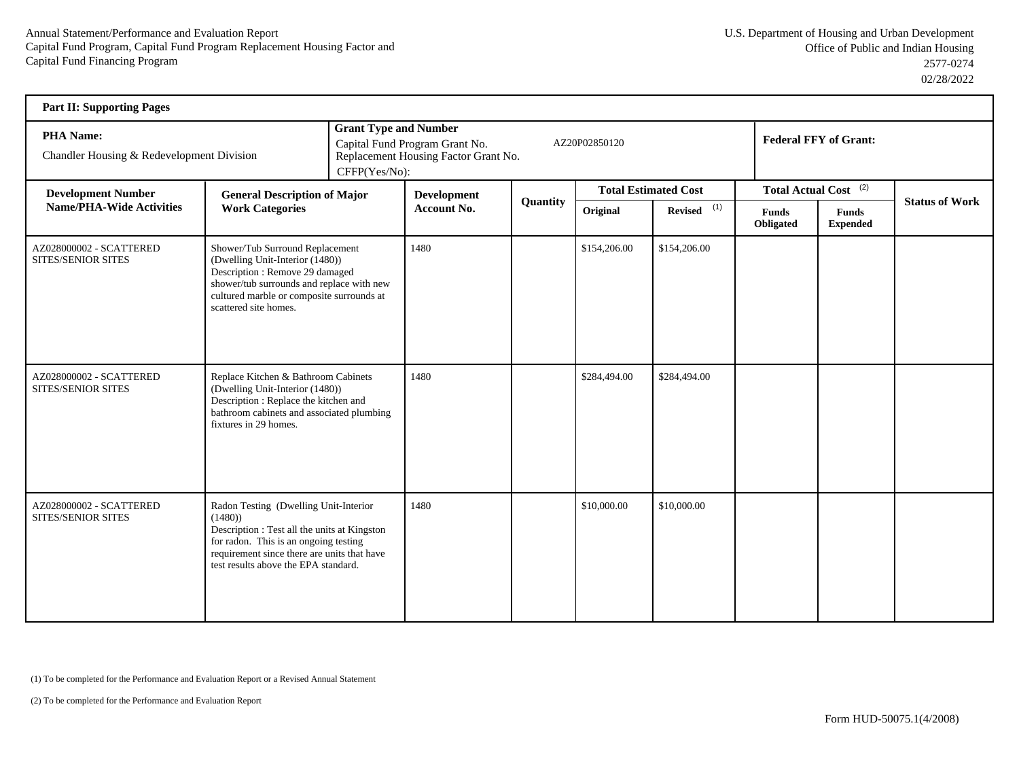| <b>Part II: Supporting Pages</b>                              |                                                                                                                                                                                                                                 |                                                                                                                                                             |                                                                                                                                          |          |              |                             |                           |                                  |                       |  |
|---------------------------------------------------------------|---------------------------------------------------------------------------------------------------------------------------------------------------------------------------------------------------------------------------------|-------------------------------------------------------------------------------------------------------------------------------------------------------------|------------------------------------------------------------------------------------------------------------------------------------------|----------|--------------|-----------------------------|---------------------------|----------------------------------|-----------------------|--|
| <b>PHA Name:</b><br>Chandler Housing & Redevelopment Division |                                                                                                                                                                                                                                 |                                                                                                                                                             | <b>Grant Type and Number</b><br>Capital Fund Program Grant No.<br>AZ20P02850120<br>Replacement Housing Factor Grant No.<br>CFFP(Yes/No): |          |              |                             |                           | <b>Federal FFY of Grant:</b>     |                       |  |
| <b>Development Number</b>                                     | <b>General Description of Major</b>                                                                                                                                                                                             |                                                                                                                                                             | <b>Development</b>                                                                                                                       |          |              | <b>Total Estimated Cost</b> |                           | Total Actual Cost <sup>(2)</sup> |                       |  |
| <b>Name/PHA-Wide Activities</b>                               | <b>Work Categories</b>                                                                                                                                                                                                          |                                                                                                                                                             | <b>Account No.</b>                                                                                                                       | Quantity | Original     | Revised $(1)$               | <b>Funds</b><br>Obligated | <b>Funds</b><br><b>Expended</b>  | <b>Status of Work</b> |  |
| AZ028000002 - SCATTERED<br>SITES/SENIOR SITES                 | (Dwelling Unit-Interior (1480))<br>scattered site homes.                                                                                                                                                                        | Shower/Tub Surround Replacement<br>Description: Remove 29 damaged<br>shower/tub surrounds and replace with new<br>cultured marble or composite surrounds at |                                                                                                                                          |          | \$154,206.00 | \$154,206.00                |                           |                                  |                       |  |
| AZ028000002 - SCATTERED<br>SITES/SENIOR SITES                 | Replace Kitchen & Bathroom Cabinets<br>(Dwelling Unit-Interior (1480))<br>Description: Replace the kitchen and<br>bathroom cabinets and associated plumbing<br>fixtures in 29 homes.                                            |                                                                                                                                                             | 1480                                                                                                                                     |          | \$284,494.00 | \$284,494.00                |                           |                                  |                       |  |
| AZ028000002 - SCATTERED<br>SITES/SENIOR SITES                 | Radon Testing (Dwelling Unit-Interior<br>(1480)<br>Description : Test all the units at Kingston<br>for radon. This is an ongoing testing<br>requirement since there are units that have<br>test results above the EPA standard. |                                                                                                                                                             | 1480                                                                                                                                     |          | \$10,000.00  | \$10,000.00                 |                           |                                  |                       |  |

(1) To be completed for the Performance and Evaluation Report or a Revised Annual Statement

(2) To be completed for the Performance and Evaluation Report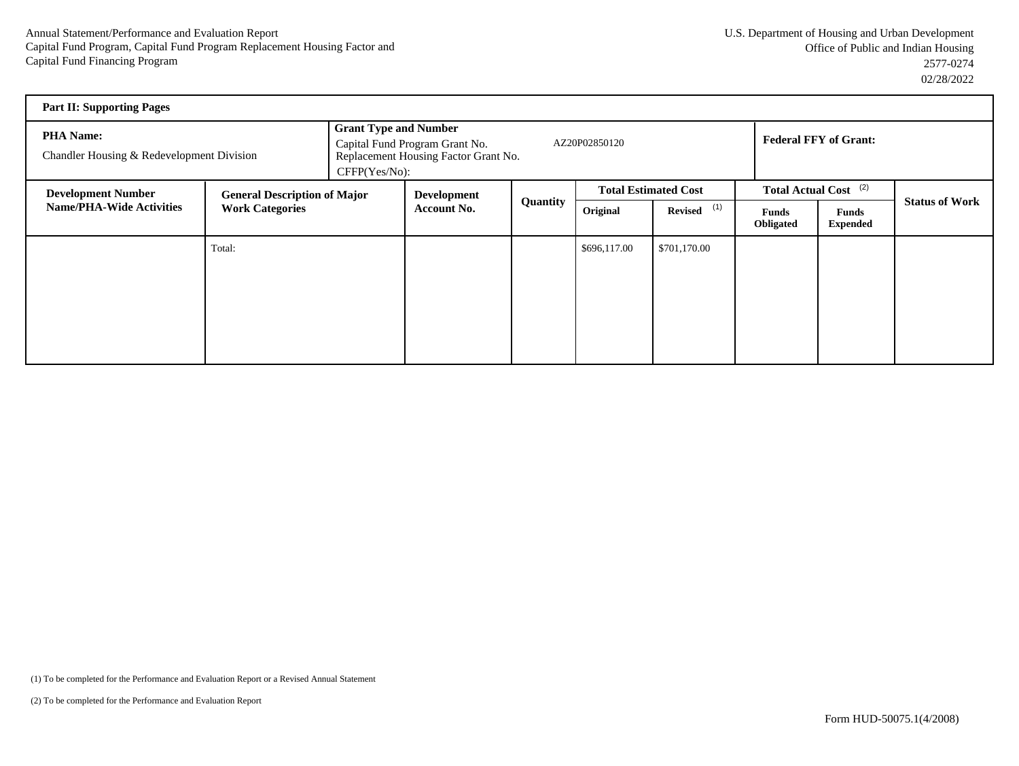| <b>Part II: Supporting Pages</b>                              |                                     |                                                                                                                                          |                    |          |                             |               |                              |                                  |                       |
|---------------------------------------------------------------|-------------------------------------|------------------------------------------------------------------------------------------------------------------------------------------|--------------------|----------|-----------------------------|---------------|------------------------------|----------------------------------|-----------------------|
| <b>PHA Name:</b><br>Chandler Housing & Redevelopment Division |                                     | <b>Grant Type and Number</b><br>AZ20P02850120<br>Capital Fund Program Grant No.<br>Replacement Housing Factor Grant No.<br>CFFP(Yes/No): |                    |          |                             |               | <b>Federal FFY of Grant:</b> |                                  |                       |
| <b>Development Number</b>                                     | <b>General Description of Major</b> |                                                                                                                                          | Development        |          | <b>Total Estimated Cost</b> |               |                              | Total Actual Cost <sup>(2)</sup> |                       |
| <b>Name/PHA-Wide Activities</b>                               | <b>Work Categories</b>              |                                                                                                                                          | <b>Account No.</b> | Quantity | Original                    | Revised $(1)$ | Funds<br>Obligated           | <b>Funds</b><br><b>Expended</b>  | <b>Status of Work</b> |
|                                                               | Total:                              |                                                                                                                                          |                    |          | \$696,117.00                | \$701,170.00  |                              |                                  |                       |
|                                                               |                                     |                                                                                                                                          |                    |          |                             |               |                              |                                  |                       |
|                                                               |                                     |                                                                                                                                          |                    |          |                             |               |                              |                                  |                       |
|                                                               |                                     |                                                                                                                                          |                    |          |                             |               |                              |                                  |                       |
|                                                               |                                     |                                                                                                                                          |                    |          |                             |               |                              |                                  |                       |

(1) To be completed for the Performance and Evaluation Report or a Revised Annual Statement

(2) To be completed for the Performance and Evaluation Report